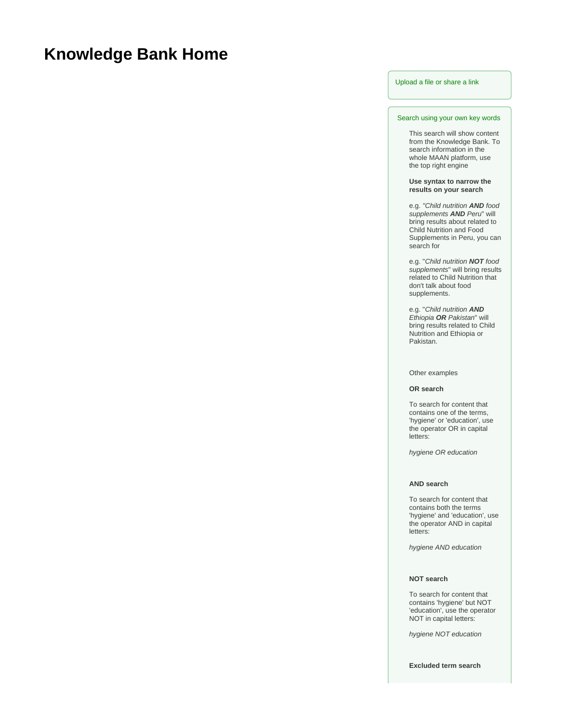# **Knowledge Bank Home**

## [Upload a file or share a link](https://maan.ifoam.bio/display/KBank/Upload+a+file)

## Search using your own key words

This search will show content from the Knowledge Bank. To search information in the whole MAAN platform, use the top right engine

#### **Use syntax to narrow the results on your search**

e.g. "Child nutrition **AND** food supplements **AND** Peru" will bring results about related to Child Nutrition and Food Supplements in Peru, you can search for

e.g. "Child nutrition **NOT** food supplements" will bring results related to Child Nutrition that don't talk about food supplements.

e.g. "Child nutrition **AND** Ethiopia **OR** Pakistan" will bring results related to Child Nutrition and Ethiopia or Pakistan.

#### Other examples

## **OR search**

To search for content that contains one of the terms, 'hygiene' or 'education', use the operator OR in capital letters:

hygiene OR education

### **AND search**

To search for content that contains both the terms 'hygiene' and 'education', use the operator AND in capital letters:

hygiene AND education

#### **NOT search**

To search for content that contains 'hygiene' but NOT 'education', use the operator NOT in capital letters:

hygiene NOT education

**Excluded term search**